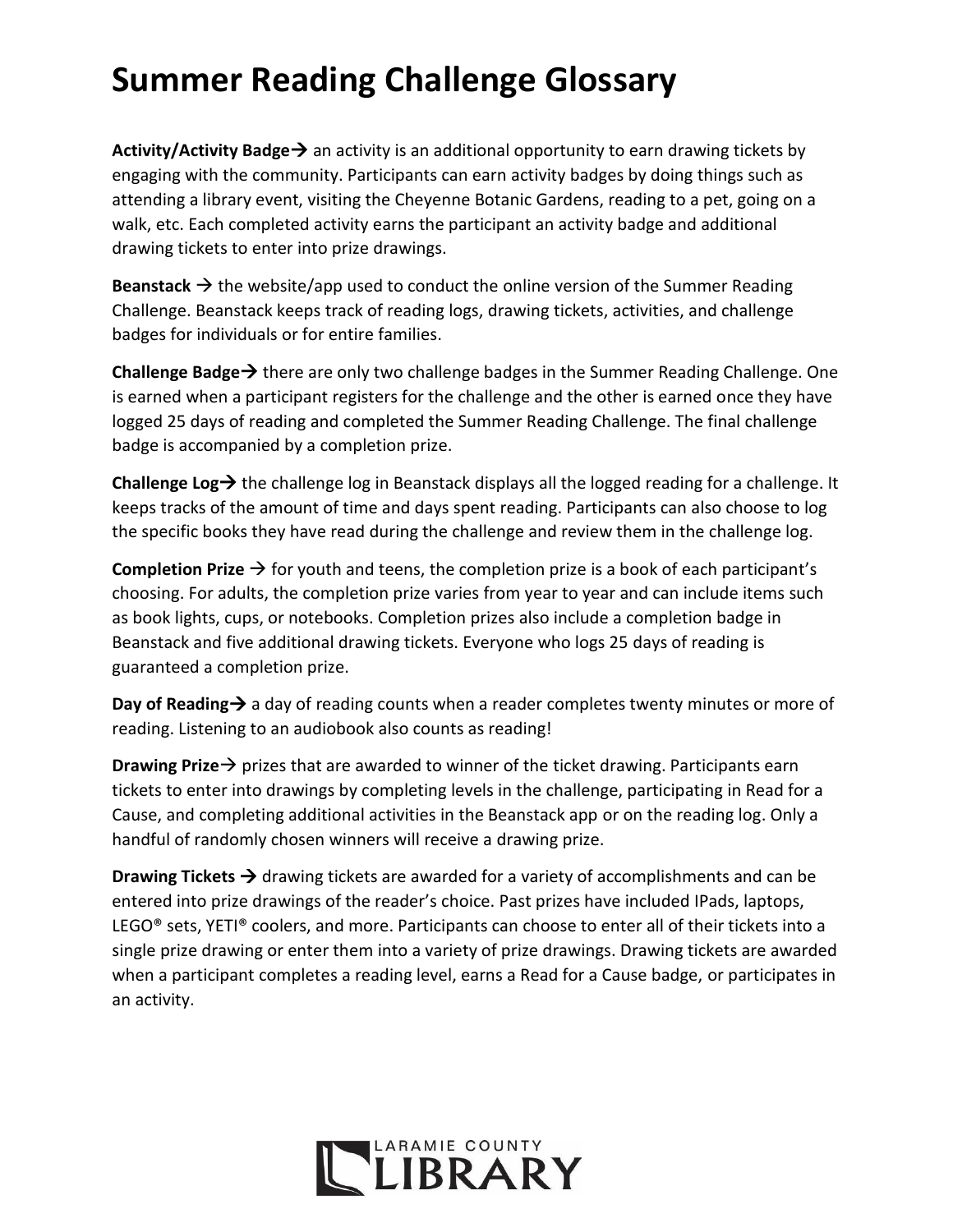## **Summer Reading Challenge Glossary**

**Activity/Activity Badge** $\rightarrow$  an activity is an additional opportunity to earn drawing tickets by engaging with the community. Participants can earn activity badges by doing things such as attending a library event, visiting the Cheyenne Botanic Gardens, reading to a pet, going on a walk, etc. Each completed activity earns the participant an activity badge and additional drawing tickets to enter into prize drawings.

**Beanstack**  $\rightarrow$  the website/app used to conduct the online version of the Summer Reading Challenge. Beanstack keeps track of reading logs, drawing tickets, activities, and challenge badges for individuals or for entire families.

**Challenge Badge→** there are only two challenge badges in the Summer Reading Challenge. One is earned when a participant registers for the challenge and the other is earned once they have logged 25 days of reading and completed the Summer Reading Challenge. The final challenge badge is accompanied by a completion prize.

Challenge Log→ the challenge log in Beanstack displays all the logged reading for a challenge. It keeps tracks of the amount of time and days spent reading. Participants can also choose to log the specific books they have read during the challenge and review them in the challenge log.

Completion Prize → for youth and teens, the completion prize is a book of each participant's choosing. For adults, the completion prize varies from year to year and can include items such as book lights, cups, or notebooks. Completion prizes also include a completion badge in Beanstack and five additional drawing tickets. Everyone who logs 25 days of reading is guaranteed a completion prize.

**Day of Reading**  $\rightarrow$  a day of reading counts when a reader completes twenty minutes or more of reading. Listening to an audiobook also counts as reading!

**Drawing Prize** → prizes that are awarded to winner of the ticket drawing. Participants earn tickets to enter into drawings by completing levels in the challenge, participating in Read for a Cause, and completing additional activities in the Beanstack app or on the reading log. Only a handful of randomly chosen winners will receive a drawing prize.

**Drawing Tickets**  $\rightarrow$  drawing tickets are awarded for a variety of accomplishments and can be entered into prize drawings of the reader's choice. Past prizes have included IPads, laptops, LEGO<sup>®</sup> sets, YETI® coolers, and more. Participants can choose to enter all of their tickets into a single prize drawing or enter them into a variety of prize drawings. Drawing tickets are awarded when a participant completes a reading level, earns a Read for a Cause badge, or participates in an activity.